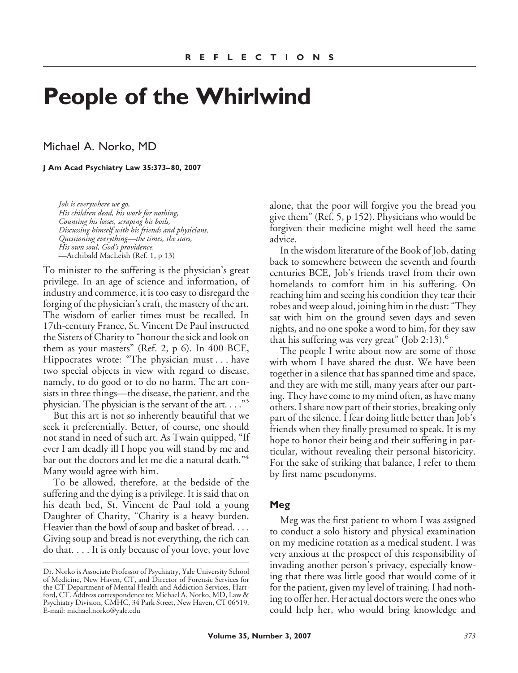# **People of the Whirlwind**

Michael A. Norko, MD

**J Am Acad Psychiatry Law 35:373– 80, 2007**

*Job is everywhere we go, His children dead, his work for nothing, Counting his losses, scraping his boils, Discussing himself with his friends and physicians, Questioning everything—the times, the stars, His own soul, God's providence.* —Archibald MacLeish (Ref. 1, p 13)

To minister to the suffering is the physician's great privilege. In an age of science and information, of industry and commerce, it is too easy to disregard the forging of the physician's craft, the mastery of the art. The wisdom of earlier times must be recalled. In 17th-century France, St. Vincent De Paul instructed the Sisters of Charity to "honour the sick and look on them as your masters" (Ref. 2, p 6). In 400 BCE, Hippocrates wrote: "The physician must . . . have two special objects in view with regard to disease, namely, to do good or to do no harm. The art consists in three things—the disease, the patient, and the physician. The physician is the servant of the art. . . ."3

But this art is not so inherently beautiful that we seek it preferentially. Better, of course, one should not stand in need of such art. As Twain quipped, "If ever I am deadly ill I hope you will stand by me and bar out the doctors and let me die a natural death."<sup>4</sup> Many would agree with him.

To be allowed, therefore, at the bedside of the suffering and the dying is a privilege. It is said that on his death bed, St. Vincent de Paul told a young Daughter of Charity, "Charity is a heavy burden. Heavier than the bowl of soup and basket of bread.... Giving soup and bread is not everything, the rich can do that. . . . It is only because of your love, your love alone, that the poor will forgive you the bread you give them" (Ref. 5, p 152). Physicians who would be forgiven their medicine might well heed the same advice.

In the wisdom literature of the Book of Job, dating back to somewhere between the seventh and fourth centuries BCE, Job's friends travel from their own homelands to comfort him in his suffering. On reaching him and seeing his condition they tear their robes and weep aloud, joining him in the dust: "They sat with him on the ground seven days and seven nights, and no one spoke a word to him, for they saw that his suffering was very great" (Job 2:13). $\degree$ 

The people I write about now are some of those with whom I have shared the dust. We have been together in a silence that has spanned time and space, and they are with me still, many years after our parting. They have come to my mind often, as have many others. I share now part of their stories, breaking only part of the silence. I fear doing little better than Job's friends when they finally presumed to speak. It is my hope to honor their being and their suffering in particular, without revealing their personal historicity. For the sake of striking that balance, I refer to them by first name pseudonyms.

#### **Meg**

Meg was the first patient to whom I was assigned to conduct a solo history and physical examination on my medicine rotation as a medical student. I was very anxious at the prospect of this responsibility of invading another person's privacy, especially knowing that there was little good that would come of it for the patient, given my level of training. I had nothing to offer her. Her actual doctors were the ones who could help her, who would bring knowledge and

Dr. Norko is Associate Professor of Psychiatry, Yale University School of Medicine, New Haven, CT, and Director of Forensic Services for the CT Department of Mental Health and Addiction Services, Hartford, CT. Address correspondence to: Michael A. Norko, MD, Law & Psychiatry Division, CMHC, 34 Park Street, New Haven, CT 06519. E-mail: michael.norko@yale.edu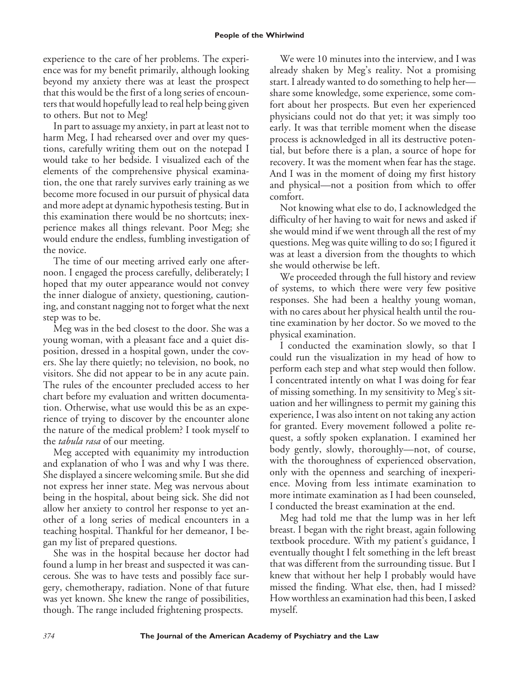experience to the care of her problems. The experience was for my benefit primarily, although looking beyond my anxiety there was at least the prospect that this would be the first of a long series of encounters that would hopefully lead to real help being given to others. But not to Meg!

In part to assuage my anxiety, in part at least not to harm Meg, I had rehearsed over and over my questions, carefully writing them out on the notepad I would take to her bedside. I visualized each of the elements of the comprehensive physical examination, the one that rarely survives early training as we become more focused in our pursuit of physical data and more adept at dynamic hypothesis testing. But in this examination there would be no shortcuts; inexperience makes all things relevant. Poor Meg; she would endure the endless, fumbling investigation of the novice.

The time of our meeting arrived early one afternoon. I engaged the process carefully, deliberately; I hoped that my outer appearance would not convey the inner dialogue of anxiety, questioning, cautioning, and constant nagging not to forget what the next step was to be.

Meg was in the bed closest to the door. She was a young woman, with a pleasant face and a quiet disposition, dressed in a hospital gown, under the covers. She lay there quietly; no television, no book, no visitors. She did not appear to be in any acute pain. The rules of the encounter precluded access to her chart before my evaluation and written documentation. Otherwise, what use would this be as an experience of trying to discover by the encounter alone the nature of the medical problem? I took myself to the *tabula rasa* of our meeting.

Meg accepted with equanimity my introduction and explanation of who I was and why I was there. She displayed a sincere welcoming smile. But she did not express her inner state. Meg was nervous about being in the hospital, about being sick. She did not allow her anxiety to control her response to yet another of a long series of medical encounters in a teaching hospital. Thankful for her demeanor, I began my list of prepared questions.

She was in the hospital because her doctor had found a lump in her breast and suspected it was cancerous. She was to have tests and possibly face surgery, chemotherapy, radiation. None of that future was yet known. She knew the range of possibilities, though. The range included frightening prospects.

We were 10 minutes into the interview, and I was already shaken by Meg's reality. Not a promising start. I already wanted to do something to help her share some knowledge, some experience, some comfort about her prospects. But even her experienced physicians could not do that yet; it was simply too early. It was that terrible moment when the disease process is acknowledged in all its destructive potential, but before there is a plan, a source of hope for recovery. It was the moment when fear has the stage. And I was in the moment of doing my first history and physical—not a position from which to offer comfort.

Not knowing what else to do, I acknowledged the difficulty of her having to wait for news and asked if she would mind if we went through all the rest of my questions. Meg was quite willing to do so; I figured it was at least a diversion from the thoughts to which she would otherwise be left.

We proceeded through the full history and review of systems, to which there were very few positive responses. She had been a healthy young woman, with no cares about her physical health until the routine examination by her doctor. So we moved to the physical examination.

I conducted the examination slowly, so that I could run the visualization in my head of how to perform each step and what step would then follow. I concentrated intently on what I was doing for fear of missing something. In my sensitivity to Meg's situation and her willingness to permit my gaining this experience, I was also intent on not taking any action for granted. Every movement followed a polite request, a softly spoken explanation. I examined her body gently, slowly, thoroughly—not, of course, with the thoroughness of experienced observation, only with the openness and searching of inexperience. Moving from less intimate examination to more intimate examination as I had been counseled, I conducted the breast examination at the end.

Meg had told me that the lump was in her left breast. I began with the right breast, again following textbook procedure. With my patient's guidance, I eventually thought I felt something in the left breast that was different from the surrounding tissue. But I knew that without her help I probably would have missed the finding. What else, then, had I missed? How worthless an examination had this been, I asked myself.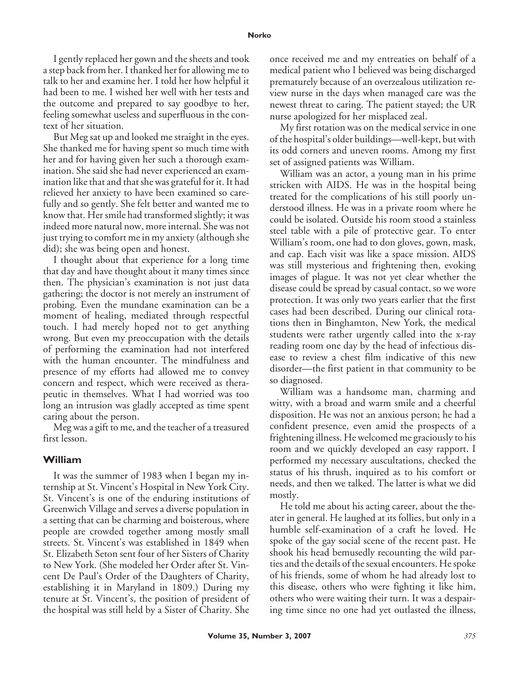#### **Norko**

I gently replaced her gown and the sheets and took a step back from her. I thanked her for allowing me to talk to her and examine her. I told her how helpful it had been to me. I wished her well with her tests and the outcome and prepared to say goodbye to her, feeling somewhat useless and superfluous in the context of her situation.

But Meg sat up and looked me straight in the eyes. She thanked me for having spent so much time with her and for having given her such a thorough examination. She said she had never experienced an examination like that and that she was grateful for it. It had relieved her anxiety to have been examined so carefully and so gently. She felt better and wanted me to know that. Her smile had transformed slightly; it was indeed more natural now, more internal. She was not just trying to comfort me in my anxiety (although she did); she was being open and honest.

I thought about that experience for a long time that day and have thought about it many times since then. The physician's examination is not just data gathering; the doctor is not merely an instrument of probing. Even the mundane examination can be a moment of healing, mediated through respectful touch. I had merely hoped not to get anything wrong. But even my preoccupation with the details of performing the examination had not interfered with the human encounter. The mindfulness and presence of my efforts had allowed me to convey concern and respect, which were received as therapeutic in themselves. What I had worried was too long an intrusion was gladly accepted as time spent caring about the person.

Meg was a gift to me, and the teacher of a treasured first lesson.

## **William**

It was the summer of 1983 when I began my internship at St. Vincent's Hospital in New York City. St. Vincent's is one of the enduring institutions of Greenwich Village and serves a diverse population in a setting that can be charming and boisterous, where people are crowded together among mostly small streets. St. Vincent's was established in 1849 when St. Elizabeth Seton sent four of her Sisters of Charity to New York. (She modeled her Order after St. Vincent De Paul's Order of the Daughters of Charity, establishing it in Maryland in 1809.) During my tenure at St. Vincent's, the position of president of the hospital was still held by a Sister of Charity. She

once received me and my entreaties on behalf of a medical patient who I believed was being discharged prematurely because of an overzealous utilization review nurse in the days when managed care was the newest threat to caring. The patient stayed; the UR nurse apologized for her misplaced zeal.

My first rotation was on the medical service in one of the hospital's older buildings—well-kept, but with its odd corners and uneven rooms. Among my first set of assigned patients was William.

William was an actor, a young man in his prime stricken with AIDS. He was in the hospital being treated for the complications of his still poorly understood illness. He was in a private room where he could be isolated. Outside his room stood a stainless steel table with a pile of protective gear. To enter William's room, one had to don gloves, gown, mask, and cap. Each visit was like a space mission. AIDS was still mysterious and frightening then, evoking images of plague. It was not yet clear whether the disease could be spread by casual contact, so we wore protection. It was only two years earlier that the first cases had been described. During our clinical rotations then in Binghamton, New York, the medical students were rather urgently called into the x-ray reading room one day by the head of infectious disease to review a chest film indicative of this new disorder—the first patient in that community to be so diagnosed.

William was a handsome man, charming and witty, with a broad and warm smile and a cheerful disposition. He was not an anxious person; he had a confident presence, even amid the prospects of a frightening illness. He welcomed me graciously to his room and we quickly developed an easy rapport. I performed my necessary auscultations, checked the status of his thrush, inquired as to his comfort or needs, and then we talked. The latter is what we did mostly.

He told me about his acting career, about the theater in general. He laughed at its follies, but only in a humble self-examination of a craft he loved. He spoke of the gay social scene of the recent past. He shook his head bemusedly recounting the wild parties and the details of the sexual encounters. He spoke of his friends, some of whom he had already lost to this disease, others who were fighting it like him, others who were waiting their turn. It was a despairing time since no one had yet outlasted the illness,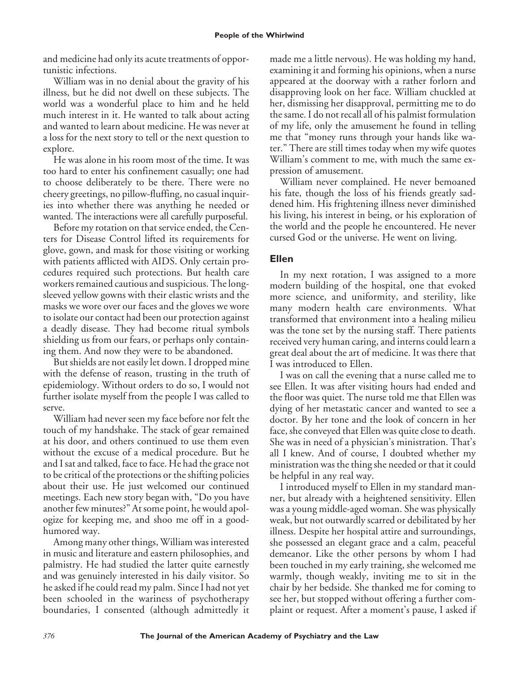and medicine had only its acute treatments of opportunistic infections.

William was in no denial about the gravity of his illness, but he did not dwell on these subjects. The world was a wonderful place to him and he held much interest in it. He wanted to talk about acting and wanted to learn about medicine. He was never at a loss for the next story to tell or the next question to explore.

He was alone in his room most of the time. It was too hard to enter his confinement casually; one had to choose deliberately to be there. There were no cheery greetings, no pillow-fluffing, no casual inquiries into whether there was anything he needed or wanted. The interactions were all carefully purposeful.

Before my rotation on that service ended, the Centers for Disease Control lifted its requirements for glove, gown, and mask for those visiting or working with patients afflicted with AIDS. Only certain procedures required such protections. But health care workers remained cautious and suspicious. The longsleeved yellow gowns with their elastic wrists and the masks we wore over our faces and the gloves we wore to isolate our contact had been our protection against a deadly disease. They had become ritual symbols shielding us from our fears, or perhaps only containing them. And now they were to be abandoned.

But shields are not easily let down. I dropped mine with the defense of reason, trusting in the truth of epidemiology. Without orders to do so, I would not further isolate myself from the people I was called to serve.

William had never seen my face before nor felt the touch of my handshake. The stack of gear remained at his door, and others continued to use them even without the excuse of a medical procedure. But he and I sat and talked, face to face. He had the grace not to be critical of the protections or the shifting policies about their use. He just welcomed our continued meetings. Each new story began with, "Do you have another few minutes?" At some point, he would apologize for keeping me, and shoo me off in a goodhumored way.

Among many other things, William was interested in music and literature and eastern philosophies, and palmistry. He had studied the latter quite earnestly and was genuinely interested in his daily visitor. So he asked if he could read my palm. Since I had not yet been schooled in the wariness of psychotherapy boundaries, I consented (although admittedly it made me a little nervous). He was holding my hand, examining it and forming his opinions, when a nurse appeared at the doorway with a rather forlorn and disapproving look on her face. William chuckled at her, dismissing her disapproval, permitting me to do the same. I do not recall all of his palmist formulation of my life, only the amusement he found in telling me that "money runs through your hands like water." There are still times today when my wife quotes William's comment to me, with much the same expression of amusement.

William never complained. He never bemoaned his fate, though the loss of his friends greatly saddened him. His frightening illness never diminished his living, his interest in being, or his exploration of the world and the people he encountered. He never cursed God or the universe. He went on living.

## **Ellen**

In my next rotation, I was assigned to a more modern building of the hospital, one that evoked more science, and uniformity, and sterility, like many modern health care environments. What transformed that environment into a healing milieu was the tone set by the nursing staff. There patients received very human caring, and interns could learn a great deal about the art of medicine. It was there that I was introduced to Ellen.

I was on call the evening that a nurse called me to see Ellen. It was after visiting hours had ended and the floor was quiet. The nurse told me that Ellen was dying of her metastatic cancer and wanted to see a doctor. By her tone and the look of concern in her face, she conveyed that Ellen was quite close to death. She was in need of a physician's ministration. That's all I knew. And of course, I doubted whether my ministration was the thing she needed or that it could be helpful in any real way.

I introduced myself to Ellen in my standard manner, but already with a heightened sensitivity. Ellen was a young middle-aged woman. She was physically weak, but not outwardly scarred or debilitated by her illness. Despite her hospital attire and surroundings, she possessed an elegant grace and a calm, peaceful demeanor. Like the other persons by whom I had been touched in my early training, she welcomed me warmly, though weakly, inviting me to sit in the chair by her bedside. She thanked me for coming to see her, but stopped without offering a further complaint or request. After a moment's pause, I asked if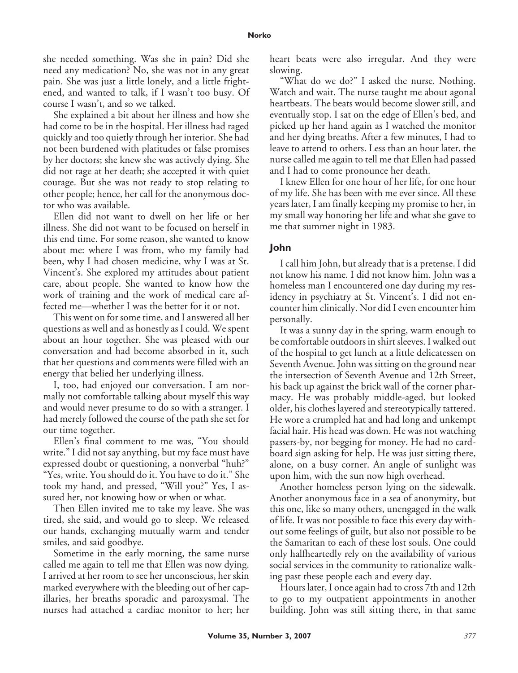she needed something. Was she in pain? Did she need any medication? No, she was not in any great pain. She was just a little lonely, and a little frightened, and wanted to talk, if I wasn't too busy. Of course I wasn't, and so we talked.

She explained a bit about her illness and how she had come to be in the hospital. Her illness had raged quickly and too quietly through her interior. She had not been burdened with platitudes or false promises by her doctors; she knew she was actively dying. She did not rage at her death; she accepted it with quiet courage. But she was not ready to stop relating to other people; hence, her call for the anonymous doctor who was available.

Ellen did not want to dwell on her life or her illness. She did not want to be focused on herself in this end time. For some reason, she wanted to know about me: where I was from, who my family had been, why I had chosen medicine, why I was at St. Vincent's. She explored my attitudes about patient care, about people. She wanted to know how the work of training and the work of medical care affected me—whether I was the better for it or not.

This went on for some time, and I answered all her questions as well and as honestly as I could. We spent about an hour together. She was pleased with our conversation and had become absorbed in it, such that her questions and comments were filled with an energy that belied her underlying illness.

I, too, had enjoyed our conversation. I am normally not comfortable talking about myself this way and would never presume to do so with a stranger. I had merely followed the course of the path she set for our time together.

Ellen's final comment to me was, "You should write." I did not say anything, but my face must have expressed doubt or questioning, a nonverbal "huh?" "Yes, write. You should do it. You have to do it." She took my hand, and pressed, "Will you?" Yes, I assured her, not knowing how or when or what.

Then Ellen invited me to take my leave. She was tired, she said, and would go to sleep. We released our hands, exchanging mutually warm and tender smiles, and said goodbye.

Sometime in the early morning, the same nurse called me again to tell me that Ellen was now dying. I arrived at her room to see her unconscious, her skin marked everywhere with the bleeding out of her capillaries, her breaths sporadic and paroxysmal. The nurses had attached a cardiac monitor to her; her heart beats were also irregular. And they were slowing.

"What do we do?" I asked the nurse. Nothing. Watch and wait. The nurse taught me about agonal heartbeats. The beats would become slower still, and eventually stop. I sat on the edge of Ellen's bed, and picked up her hand again as I watched the monitor and her dying breaths. After a few minutes, I had to leave to attend to others. Less than an hour later, the nurse called me again to tell me that Ellen had passed and I had to come pronounce her death.

I knew Ellen for one hour of her life, for one hour of my life. She has been with me ever since. All these years later, I am finally keeping my promise to her, in my small way honoring her life and what she gave to me that summer night in 1983.

#### **John**

I call him John, but already that is a pretense. I did not know his name. I did not know him. John was a homeless man I encountered one day during my residency in psychiatry at St. Vincent's. I did not encounter him clinically. Nor did I even encounter him personally.

It was a sunny day in the spring, warm enough to be comfortable outdoors in shirt sleeves. I walked out of the hospital to get lunch at a little delicatessen on Seventh Avenue. John was sitting on the ground near the intersection of Seventh Avenue and 12th Street, his back up against the brick wall of the corner pharmacy. He was probably middle-aged, but looked older, his clothes layered and stereotypically tattered. He wore a crumpled hat and had long and unkempt facial hair. His head was down. He was not watching passers-by, nor begging for money. He had no cardboard sign asking for help. He was just sitting there, alone, on a busy corner. An angle of sunlight was upon him, with the sun now high overhead.

Another homeless person lying on the sidewalk. Another anonymous face in a sea of anonymity, but this one, like so many others, unengaged in the walk of life. It was not possible to face this every day without some feelings of guilt, but also not possible to be the Samaritan to each of these lost souls. One could only halfheartedly rely on the availability of various social services in the community to rationalize walking past these people each and every day.

Hours later, I once again had to cross 7th and 12th to go to my outpatient appointments in another building. John was still sitting there, in that same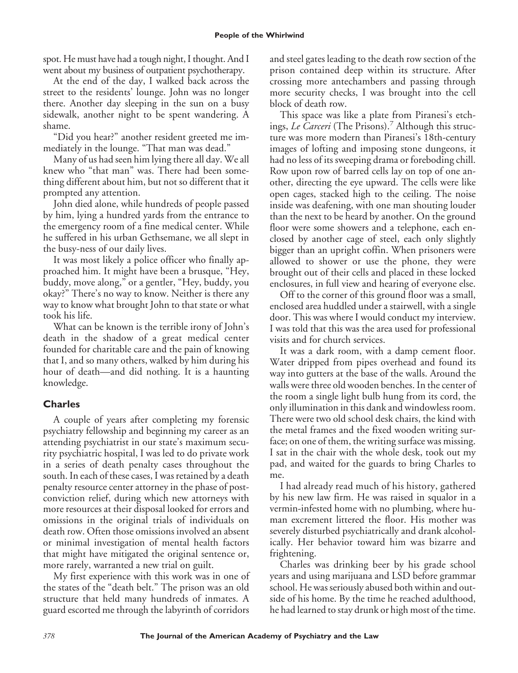spot. He must have had a tough night, I thought. And I went about my business of outpatient psychotherapy.

At the end of the day, I walked back across the street to the residents' lounge. John was no longer there. Another day sleeping in the sun on a busy sidewalk, another night to be spent wandering. A shame.

"Did you hear?" another resident greeted me immediately in the lounge. "That man was dead."

Many of us had seen him lying there all day. We all knew who "that man" was. There had been something different about him, but not so different that it prompted any attention.

John died alone, while hundreds of people passed by him, lying a hundred yards from the entrance to the emergency room of a fine medical center. While he suffered in his urban Gethsemane, we all slept in the busy-ness of our daily lives.

It was most likely a police officer who finally approached him. It might have been a brusque, "Hey, buddy, move along," or a gentler, "Hey, buddy, you okay?" There's no way to know. Neither is there any way to know what brought John to that state or what took his life.

What can be known is the terrible irony of John's death in the shadow of a great medical center founded for charitable care and the pain of knowing that I, and so many others, walked by him during his hour of death—and did nothing. It is a haunting knowledge.

# **Charles**

A couple of years after completing my forensic psychiatry fellowship and beginning my career as an attending psychiatrist in our state's maximum security psychiatric hospital, I was led to do private work in a series of death penalty cases throughout the south. In each of these cases, I was retained by a death penalty resource center attorney in the phase of postconviction relief, during which new attorneys with more resources at their disposal looked for errors and omissions in the original trials of individuals on death row. Often those omissions involved an absent or minimal investigation of mental health factors that might have mitigated the original sentence or, more rarely, warranted a new trial on guilt.

My first experience with this work was in one of the states of the "death belt." The prison was an old structure that held many hundreds of inmates. A guard escorted me through the labyrinth of corridors

and steel gates leading to the death row section of the prison contained deep within its structure. After crossing more antechambers and passing through more security checks, I was brought into the cell block of death row.

This space was like a plate from Piranesi's etchings, *Le Carceri* (The Prisons).<sup>7</sup> Although this structure was more modern than Piranesi's 18th-century images of lofting and imposing stone dungeons, it had no less of its sweeping drama or foreboding chill. Row upon row of barred cells lay on top of one another, directing the eye upward. The cells were like open cages, stacked high to the ceiling. The noise inside was deafening, with one man shouting louder than the next to be heard by another. On the ground floor were some showers and a telephone, each enclosed by another cage of steel, each only slightly bigger than an upright coffin. When prisoners were allowed to shower or use the phone, they were brought out of their cells and placed in these locked enclosures, in full view and hearing of everyone else.

Off to the corner of this ground floor was a small, enclosed area huddled under a stairwell, with a single door. This was where I would conduct my interview. I was told that this was the area used for professional visits and for church services.

It was a dark room, with a damp cement floor. Water dripped from pipes overhead and found its way into gutters at the base of the walls. Around the walls were three old wooden benches. In the center of the room a single light bulb hung from its cord, the only illumination in this dank and windowless room. There were two old school desk chairs, the kind with the metal frames and the fixed wooden writing surface; on one of them, the writing surface was missing. I sat in the chair with the whole desk, took out my pad, and waited for the guards to bring Charles to me.

I had already read much of his history, gathered by his new law firm. He was raised in squalor in a vermin-infested home with no plumbing, where human excrement littered the floor. His mother was severely disturbed psychiatrically and drank alcoholically. Her behavior toward him was bizarre and frightening.

Charles was drinking beer by his grade school years and using marijuana and LSD before grammar school. He was seriously abused both within and outside of his home. By the time he reached adulthood, he had learned to stay drunk or high most of the time.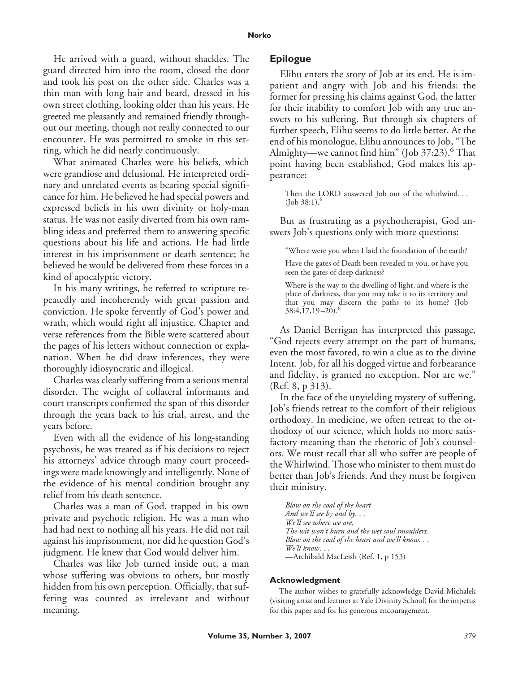He arrived with a guard, without shackles. The guard directed him into the room, closed the door and took his post on the other side. Charles was a thin man with long hair and beard, dressed in his own street clothing, looking older than his years. He greeted me pleasantly and remained friendly throughout our meeting, though not really connected to our encounter. He was permitted to smoke in this setting, which he did nearly continuously.

What animated Charles were his beliefs, which were grandiose and delusional. He interpreted ordinary and unrelated events as bearing special significance for him. He believed he had special powers and expressed beliefs in his own divinity or holy-man status. He was not easily diverted from his own rambling ideas and preferred them to answering specific questions about his life and actions. He had little interest in his imprisonment or death sentence; he believed he would be delivered from these forces in a kind of apocalyptic victory.

In his many writings, he referred to scripture repeatedly and incoherently with great passion and conviction. He spoke fervently of God's power and wrath, which would right all injustice. Chapter and verse references from the Bible were scattered about the pages of his letters without connection or explanation. When he did draw inferences, they were thoroughly idiosyncratic and illogical.

Charles was clearly suffering from a serious mental disorder. The weight of collateral informants and court transcripts confirmed the span of this disorder through the years back to his trial, arrest, and the years before.

Even with all the evidence of his long-standing psychosis, he was treated as if his decisions to reject his attorneys' advice through many court proceedings were made knowingly and intelligently. None of the evidence of his mental condition brought any relief from his death sentence.

Charles was a man of God, trapped in his own private and psychotic religion. He was a man who had had next to nothing all his years. He did not rail against his imprisonment, nor did he question God's judgment. He knew that God would deliver him.

Charles was like Job turned inside out, a man whose suffering was obvious to others, but mostly hidden from his own perception. Officially, that suffering was counted as irrelevant and without meaning.

### **Epilogue**

Elihu enters the story of Job at its end. He is impatient and angry with Job and his friends: the former for pressing his claims against God, the latter for their inability to comfort Job with any true answers to his suffering. But through six chapters of further speech, Elihu seems to do little better. At the end of his monologue, Elihu announces to Job, "The Almighty—we cannot find him" (Job 37:23).<sup>6</sup> That point having been established, God makes his appearance:

Then the LORD answered Job out of the whirlwind. . .  $($ Job 38:1). $<sup>6</sup>$ </sup>

But as frustrating as a psychotherapist, God answers Job's questions only with more questions:

"Where were you when I laid the foundation of the earth?

Have the gates of Death been revealed to you, or have you seen the gates of deep darkness?

Where is the way to the dwelling of light, and where is the place of darkness, that you may take it to its territory and that you may discern the paths to its home? (Job  $38:4,17,19-20.6$ 

As Daniel Berrigan has interpreted this passage, "God rejects every attempt on the part of humans, even the most favored, to win a clue as to the divine Intent. Job, for all his dogged virtue and forbearance and fidelity, is granted no exception. Nor are we." (Ref. 8, p 313).

In the face of the unyielding mystery of suffering, Job's friends retreat to the comfort of their religious orthodoxy. In medicine, we often retreat to the orthodoxy of our science, which holds no more satisfactory meaning than the rhetoric of Job's counselors. We must recall that all who suffer are people of the Whirlwind. Those who minister to them must do better than Job's friends. And they must be forgiven their ministry.

*Blow on the coal of the heart And we'll see by and by*... *We'll see where we are. The wit won't burn and the wet soul smoulders. Blow on the coal of the heart and we'll know*... *We'll know*... —Archibald MacLeish (Ref. 1, p 153)

#### **Acknowledgment**

The author wishes to gratefully acknowledge David Michalek (visiting artist and lecturer at Yale Divinity School) for the impetus for this paper and for his generous encouragement.